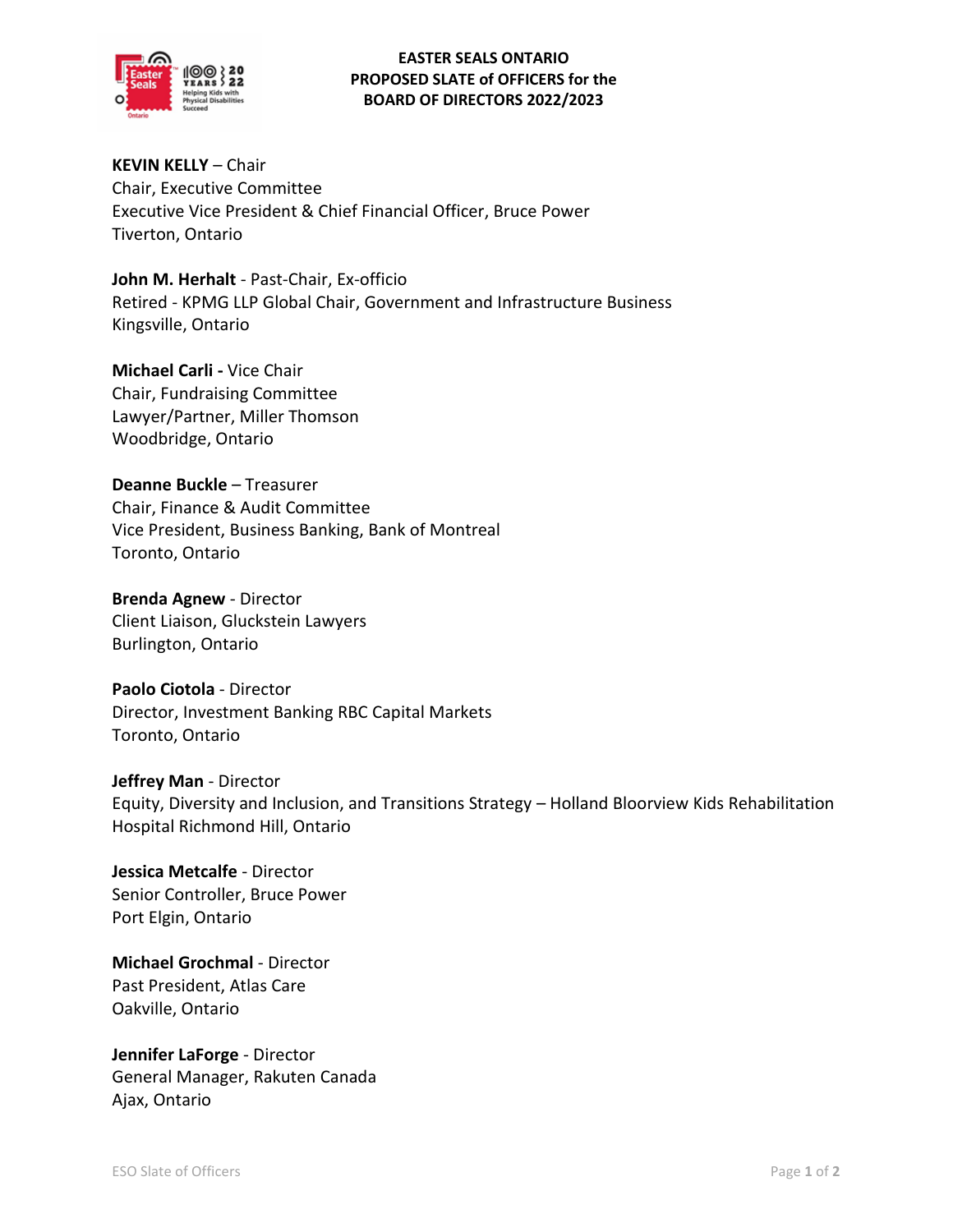

## **EASTER SEALS ONTARIO PROPOSED SLATE of OFFICERS for the BOARD OF DIRECTORS 2022/2023**

**KEVIN KELLY** – Chair Chair, Executive Committee Executive Vice President & Chief Financial Officer, Bruce Power Tiverton, Ontario

**John M. Herhalt** - Past-Chair, Ex-officio Retired - KPMG LLP Global Chair, Government and Infrastructure Business Kingsville, Ontario

**Michael Carli -** Vice Chair Chair, Fundraising Committee Lawyer/Partner, Miller Thomson Woodbridge, Ontario

**Deanne Buckle** – Treasurer Chair, Finance & Audit Committee Vice President, Business Banking, Bank of Montreal Toronto, Ontario

**Brenda Agnew** - Director Client Liaison, Gluckstein Lawyers Burlington, Ontario

**Paolo Ciotola** - Director Director, Investment Banking RBC Capital Markets Toronto, Ontario

**Jeffrey Man** - Director Equity, Diversity and Inclusion, and Transitions Strategy – Holland Bloorview Kids Rehabilitation Hospital Richmond Hill, Ontario

**Jessica Metcalfe** - Director Senior Controller, Bruce Power Port Elgin, Ontario

**Michael Grochmal** - Director Past President, Atlas Care Oakville, Ontario

**Jennifer LaForge** - Director General Manager, Rakuten Canada Ajax, Ontario